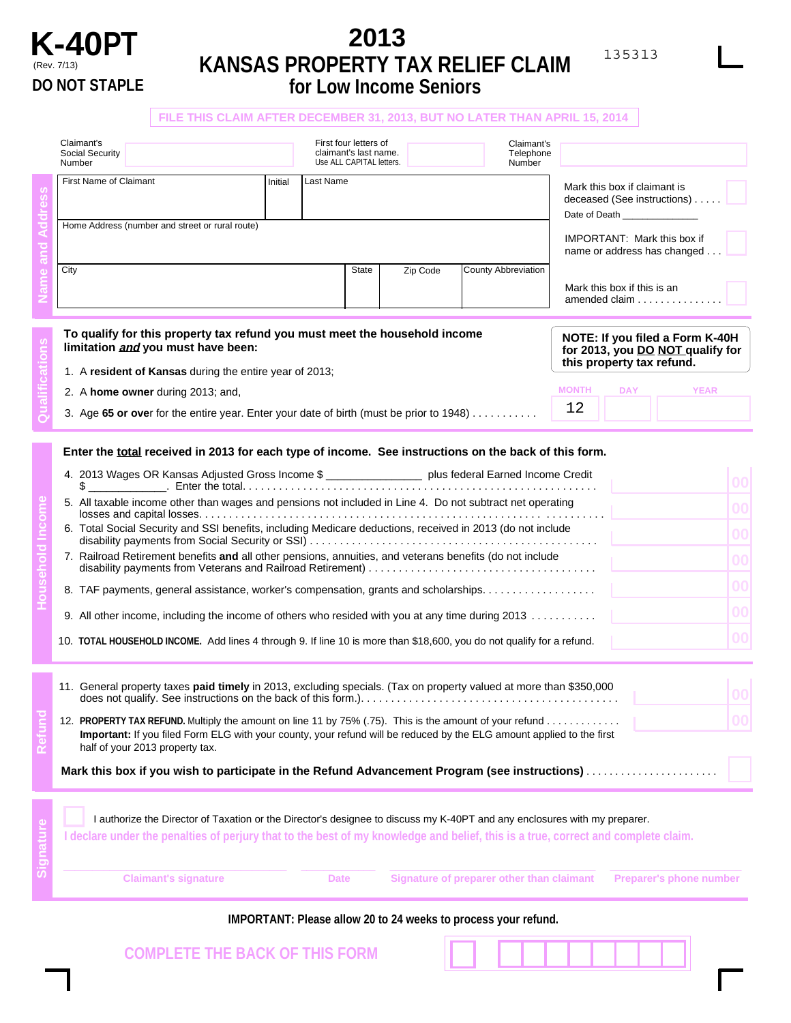

## (Rev. 7/13) **KANSAS PROPERTY TAX RELIEF CLAIM for Low Income Seniors 2013**

## **MONTH DAY YEAR NOTE: If you filed a Form K-40H for 2013, you DO NOT qualify for this property tax refund. Household Income Enter the total received in 2013 for each type of income. See instructions on the back of this form. Refund** 5. All taxable income other than wages and pensions not included in Line 4. Do not subtract net operating losses and capital losses. . . . . . . . . . . . . . . . . . . . . . . . . . . . . . . . . . . . . . . . . . . . . . . . . . . . . . . . . . . . . . . . . . . 6. Total Social Security and SSI benefits, including Medicare deductions, received in 2013 (do not include disability payments from Social Security or SSI) . . . . . . . . . . . . . . . . . . . . . . . . . . . . . . . . . . . . . . . . . . . . . . . . Date of Death 7. Railroad Retirement benefits **and** all other pensions, annuities, and veterans benefits (do not include disability payments from Veterans and Railroad Retirement) . . . . . . . . . . . . . . . . . . . . . . . . . . . . . . . . . . . . . . **FILE THIS CLAIM AFTER DECEMBER 31, 2013, BUT NO LATER THAN APRIL 15, 2014** 1. A **resident of Kansas** during the entire year of 2013; 2. A **home owner** during 2013; and, 3. Age **65 or ove**r for the entire year. Enter your date of birth (must be prior to 1948) . . . . . . . . . . . **Qualifications Signature** Claimant's Social Security Number Home Address (number and street or rural route) **Name and Address** City **City** State Zip Code Last Name County Abbreviation IMPORTANT: Mark this box if name or address has changed. Mark this box if this is an amended claim . . . . . . . . . . . Mark this box if claimant is deceased (See instructions) . . . . . 4. 2013 Wages OR Kansas Adjusted Gross Income \$ \_\_\_\_\_\_\_\_\_\_\_\_\_\_\_\_ plus federal Earned Income Credit  $\$\$ \_ First four letters of claimant's last name. Use ALL CAPITAL letters. First Name of Claimant **Initial** Claimant's Telephone Number I authorize the Director of Taxation or the Director's designee to discuss my K-40PT and any enclosures with my preparer. **I declare under the penalties of perjury that to the best of my knowledge and belief, this is a true, correct and complete claim.** 12. **PROPERTY TAX REFUND.** Multiply the amount on line 11 by 75% (.75). This is the amount of your refund ............ **Important:** If you filed Form ELG with your county, your refund will be reduced by the ELG amount applied to the first half of your 2013 property tax. **To qualify for this property tax refund you must meet the household income limitation and you must have been:** 8. TAF payments, general assistance, worker's compensation, grants and scholarships. . . . . . . . . . . . . . . . . 9. All other income, including the income of others who resided with you at any time during 2013 ............ 10. **TOTAL HOUSEHOLD INCOME.** Add lines 4 through 9. If line 10 is more than \$18,600, you do not qualify for a refund. Mark this box if you wish to participate in the Refund Advancement Program (see instructions)........ 11. General property taxes **paid timely** in 2013, excluding specials. (Tax on property valued at more than \$350,000 does not qualify. See instructions on the back of this form.). . . . . . . . . . . . . . . . . . . . . . . . . . . . . . . . . . . . . . . . . . . 12

**Claimant's signature Date Signature of preparer other than claimant Preparer's phone number IMPORTANT: Please allow 20 to 24 weeks to process your refund.**

**COMPLETE THE BACK OF THIS FORM**